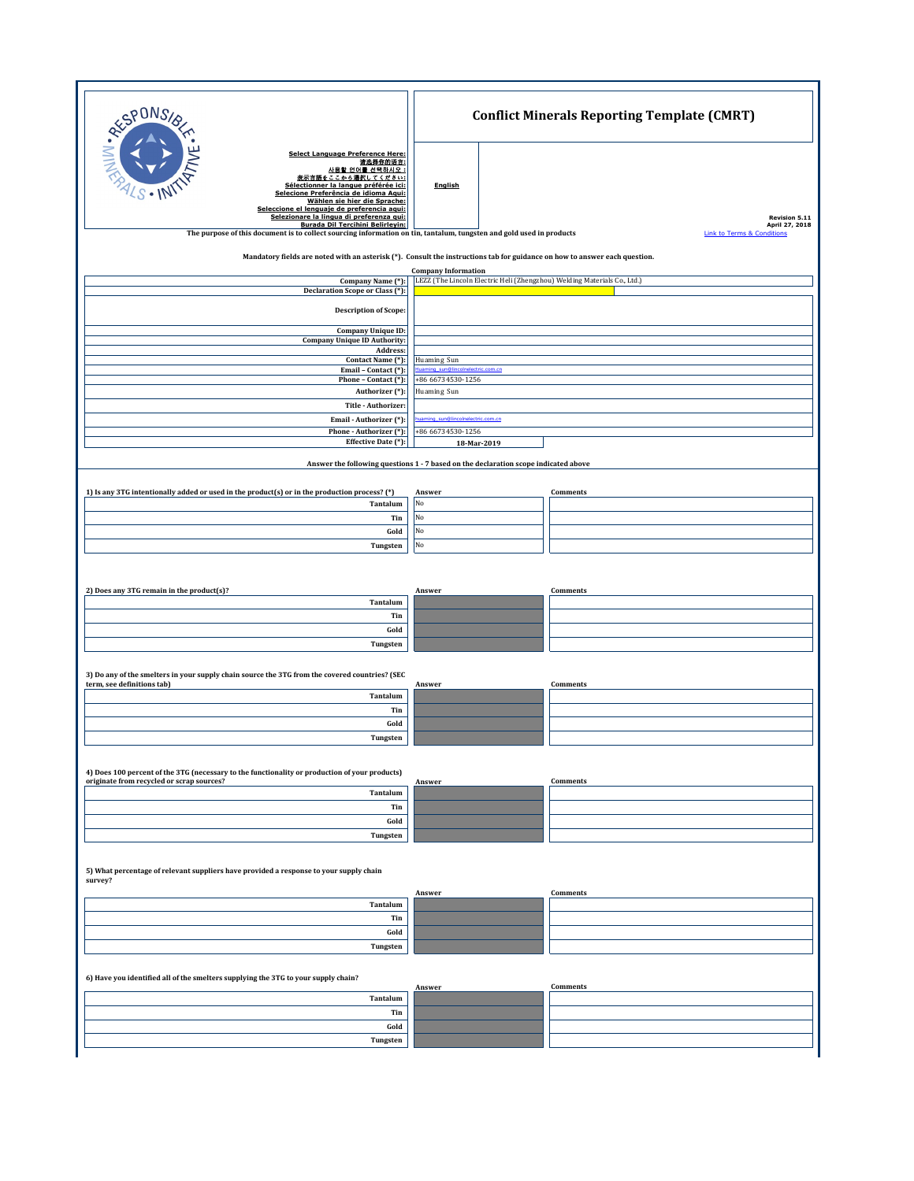| RESPONS                                                                                                                                                                                                                                                                                                                                      | <b>Conflict Minerals Reporting Template (CMRT)</b>                       |                                       |  |  |
|----------------------------------------------------------------------------------------------------------------------------------------------------------------------------------------------------------------------------------------------------------------------------------------------------------------------------------------------|--------------------------------------------------------------------------|---------------------------------------|--|--|
| <b>Select Language Preference Here:</b><br>请选择你的语言:<br>사용할 언어를 선택하시오 :<br>表示言語をここから選択してください:<br>Sélectionner la langue préférée ici:<br>Selecione Preferência de idioma Agui:<br>Wählen sie hier die Sprache:<br>Seleccione el lenguaie de preferencia aqui:<br>Selezionare la lingua di preferenza qui:<br>Burada Dil Tercihini Belirleyin: | English                                                                  | Revision 5.11<br>April 27, 2018       |  |  |
| The purpose of this document is to collect sourcing information on tin, tantalum, tungsten and gold used in products                                                                                                                                                                                                                         |                                                                          | <b>Link to Terms &amp; Conditions</b> |  |  |
| Mandatory fields are noted with an asterisk (*). Consult the instructions tab for guidance on how to answer each question.                                                                                                                                                                                                                   | <b>Company Information</b>                                               |                                       |  |  |
| Company Name (*):<br>Declaration Scope or Class (*):                                                                                                                                                                                                                                                                                         | LEZZ (The Lincoln Electric Heli (Zhengzhou) Welding Materials Co., Ltd.) |                                       |  |  |
| <b>Description of Scope:</b>                                                                                                                                                                                                                                                                                                                 |                                                                          |                                       |  |  |
| <b>Company Unique ID:</b>                                                                                                                                                                                                                                                                                                                    |                                                                          |                                       |  |  |
| <b>Company Unique ID Authority:</b><br>Address:                                                                                                                                                                                                                                                                                              |                                                                          |                                       |  |  |
| Contact Name (*):<br>Email - Contact (*):                                                                                                                                                                                                                                                                                                    | Huaming Sun<br>Huaming_sun@lincolnelectric.com.cn                        |                                       |  |  |
| Phone - Contact (*):                                                                                                                                                                                                                                                                                                                         | +86 66734530-1256<br>Huaming Sun                                         |                                       |  |  |
| Authorizer (*):<br>Title - Authorizer:                                                                                                                                                                                                                                                                                                       |                                                                          |                                       |  |  |
| Email - Authorizer (*):                                                                                                                                                                                                                                                                                                                      | aming_sun@lincolnelectric.com.cn<br>+86 66734530-1256                    |                                       |  |  |
| Phone - Authorizer (*):<br>Effective Date (*):                                                                                                                                                                                                                                                                                               | 18-Mar-2019                                                              |                                       |  |  |
| Answer the following questions 1 - 7 based on the declaration scope indicated above                                                                                                                                                                                                                                                          |                                                                          |                                       |  |  |
| 1) Is any 3TG intentionally added or used in the product(s) or in the production process? (*)                                                                                                                                                                                                                                                | Answer                                                                   | Comments                              |  |  |
| Tantalum<br>Tin                                                                                                                                                                                                                                                                                                                              | No<br>No                                                                 |                                       |  |  |
| Gold                                                                                                                                                                                                                                                                                                                                         | No                                                                       |                                       |  |  |
| Tungsten                                                                                                                                                                                                                                                                                                                                     | No                                                                       |                                       |  |  |
| 2) Does any 3TG remain in the product(s)?<br>Tantalum<br>Tin<br>Gold<br>Tungsten                                                                                                                                                                                                                                                             | Answer                                                                   | Comments                              |  |  |
|                                                                                                                                                                                                                                                                                                                                              |                                                                          |                                       |  |  |
| 3) Do any of the smelters in your supply chain source the 3TG from the covered countries? (SEC<br>term, see definitions tab)<br>Tantalum                                                                                                                                                                                                     | Answer                                                                   | Comments                              |  |  |
| Tin                                                                                                                                                                                                                                                                                                                                          |                                                                          |                                       |  |  |
| Gold                                                                                                                                                                                                                                                                                                                                         |                                                                          |                                       |  |  |
| Tungsten                                                                                                                                                                                                                                                                                                                                     |                                                                          |                                       |  |  |
| 4) Does 100 percent of the 3TG (necessary to the functionality or production of your products)<br>originate from recycled or scrap sources?                                                                                                                                                                                                  | Answer                                                                   | Comments                              |  |  |
| Tantalum                                                                                                                                                                                                                                                                                                                                     |                                                                          |                                       |  |  |
| Tin<br>Gold                                                                                                                                                                                                                                                                                                                                  |                                                                          |                                       |  |  |
| Tungsten                                                                                                                                                                                                                                                                                                                                     |                                                                          |                                       |  |  |
| 5) What percentage of relevant suppliers have provided a response to your supply chain<br>survey?                                                                                                                                                                                                                                            |                                                                          |                                       |  |  |
| Tantalum                                                                                                                                                                                                                                                                                                                                     | Answer                                                                   | Comments                              |  |  |
| Tin                                                                                                                                                                                                                                                                                                                                          |                                                                          |                                       |  |  |
| Gold                                                                                                                                                                                                                                                                                                                                         |                                                                          |                                       |  |  |
| Tungsten                                                                                                                                                                                                                                                                                                                                     |                                                                          |                                       |  |  |
| 6) Have you identified all of the smelters supplying the 3TG to your supply chain?                                                                                                                                                                                                                                                           | Answer                                                                   | Comments                              |  |  |
| Tantalum<br>Tin                                                                                                                                                                                                                                                                                                                              |                                                                          |                                       |  |  |
| Gold                                                                                                                                                                                                                                                                                                                                         |                                                                          |                                       |  |  |
| Tungsten                                                                                                                                                                                                                                                                                                                                     |                                                                          |                                       |  |  |
|                                                                                                                                                                                                                                                                                                                                              |                                                                          |                                       |  |  |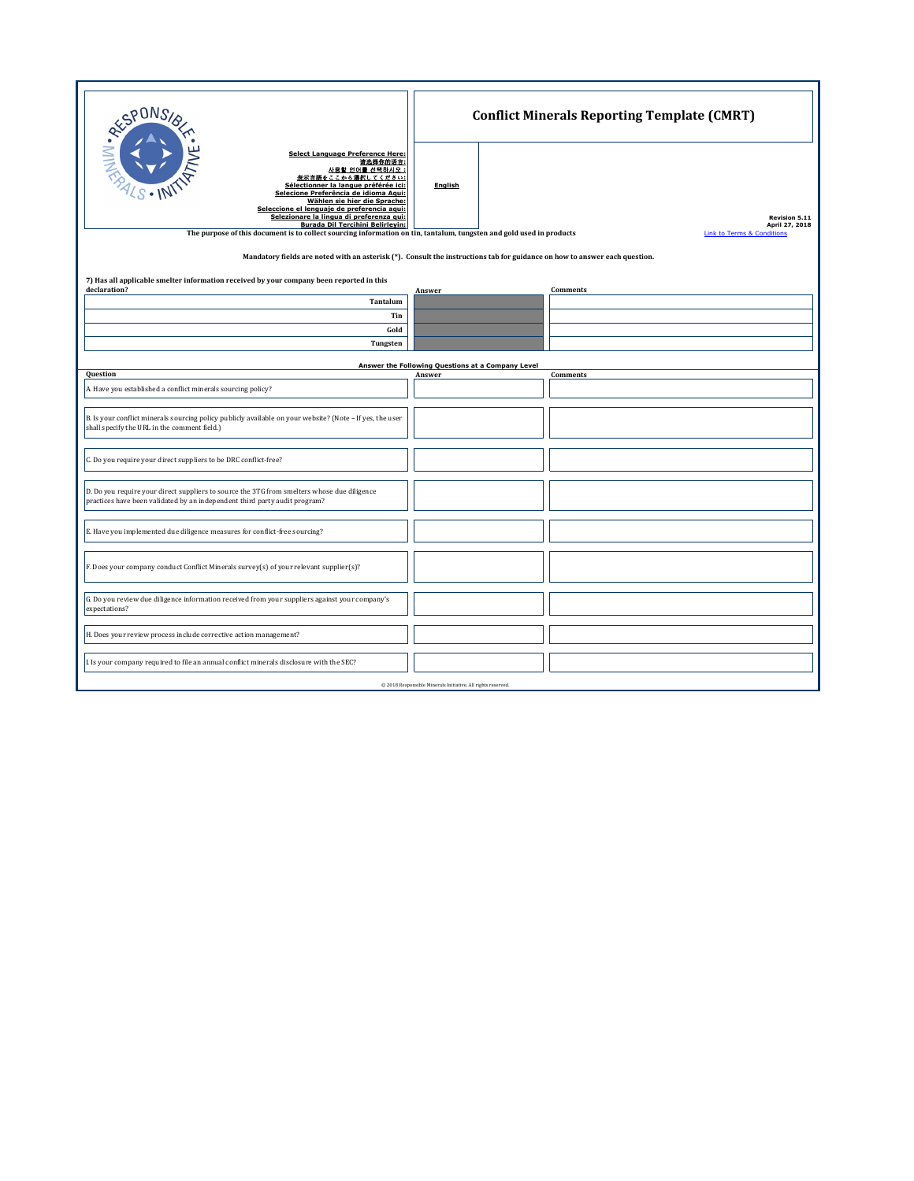| <b>RESPONS</b><br><b>Select Language Preference Here:</b><br>请选择你的语言:<br>사용할 언어를 선택하시오 :<br>表示言語をここから選択してください:<br>Sélectionner la langue préférée ici:<br>Selecione Preferência de idioma Agui:<br>Wählen sie hier die Sprache:<br>Seleccione el lenguaie de preferencia agui:<br>Selezionare la lingua di preferenza gui:<br><b>Burada Dil Tercihini Belirleyin:</b><br>The purpose of this document is to collect sourcing information on tin, tantalum, tungsten and gold used in products<br>Mandatory fields are noted with an asterisk (*). Consult the instructions tab for guidance on how to answer each question. | <b>English</b>                                    | <b>Conflict Minerals Reporting Template (CMRT)</b><br><b>Revision 5.11</b><br>April 27, 2018<br><b>Link to Terms &amp; Conditions</b> |  |  |
|-----------------------------------------------------------------------------------------------------------------------------------------------------------------------------------------------------------------------------------------------------------------------------------------------------------------------------------------------------------------------------------------------------------------------------------------------------------------------------------------------------------------------------------------------------------------------------------------------------------------------------|---------------------------------------------------|---------------------------------------------------------------------------------------------------------------------------------------|--|--|
| 7) Has all applicable smelter information received by your company been reported in this<br>declaration?                                                                                                                                                                                                                                                                                                                                                                                                                                                                                                                    |                                                   |                                                                                                                                       |  |  |
| Tantalum                                                                                                                                                                                                                                                                                                                                                                                                                                                                                                                                                                                                                    | Answer                                            | <b>Comments</b>                                                                                                                       |  |  |
| Tin                                                                                                                                                                                                                                                                                                                                                                                                                                                                                                                                                                                                                         |                                                   |                                                                                                                                       |  |  |
| Gold                                                                                                                                                                                                                                                                                                                                                                                                                                                                                                                                                                                                                        |                                                   |                                                                                                                                       |  |  |
| Tungsten                                                                                                                                                                                                                                                                                                                                                                                                                                                                                                                                                                                                                    |                                                   |                                                                                                                                       |  |  |
|                                                                                                                                                                                                                                                                                                                                                                                                                                                                                                                                                                                                                             | Answer the Following Questions at a Company Level |                                                                                                                                       |  |  |
| Question                                                                                                                                                                                                                                                                                                                                                                                                                                                                                                                                                                                                                    | Answer                                            | Comments                                                                                                                              |  |  |
| A. Have you established a conflict minerals sourcing policy?                                                                                                                                                                                                                                                                                                                                                                                                                                                                                                                                                                |                                                   |                                                                                                                                       |  |  |
| B. Is your conflict minerals sourcing policy publicly available on your website? (Note - If yes, the user<br>shall specify the URL in the comment field.)                                                                                                                                                                                                                                                                                                                                                                                                                                                                   |                                                   |                                                                                                                                       |  |  |
| C. Do you require your direct suppliers to be DRC conflict-free?                                                                                                                                                                                                                                                                                                                                                                                                                                                                                                                                                            |                                                   |                                                                                                                                       |  |  |
| D. Do you require your direct suppliers to source the 3TG from smelters whose due diligence<br>practices have been validated by an independent third party audit program?                                                                                                                                                                                                                                                                                                                                                                                                                                                   |                                                   |                                                                                                                                       |  |  |
| E. Have you implemented due diligence measures for conflict-free sourcing?                                                                                                                                                                                                                                                                                                                                                                                                                                                                                                                                                  |                                                   |                                                                                                                                       |  |  |
| F. Does your company conduct Conflict Minerals survey(s) of your relevant supplier(s)?                                                                                                                                                                                                                                                                                                                                                                                                                                                                                                                                      |                                                   |                                                                                                                                       |  |  |
| G. Do you review due diligence information received from your suppliers against your company's<br>expectations?                                                                                                                                                                                                                                                                                                                                                                                                                                                                                                             |                                                   |                                                                                                                                       |  |  |
| H. Does your review process include corrective action management?                                                                                                                                                                                                                                                                                                                                                                                                                                                                                                                                                           |                                                   |                                                                                                                                       |  |  |
| I. Is your company required to file an annual conflict minerals disclosure with the SEC?                                                                                                                                                                                                                                                                                                                                                                                                                                                                                                                                    |                                                   |                                                                                                                                       |  |  |
| @ 2018 Responsible Minerals Initiative. All rights reserved.                                                                                                                                                                                                                                                                                                                                                                                                                                                                                                                                                                |                                                   |                                                                                                                                       |  |  |